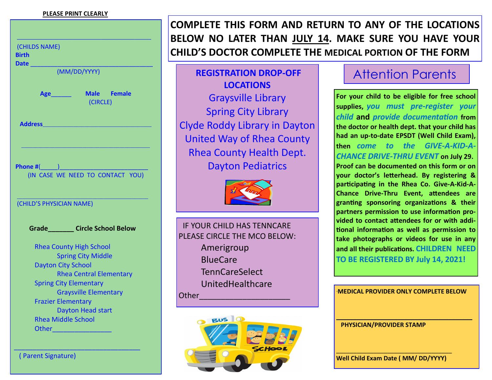## **PLEASE PRINT CLEARLY**

| (CHILDS NAME)            |                                                        |
|--------------------------|--------------------------------------------------------|
| Birth                    |                                                        |
| <b>Date</b>              | (MM/DD/YYYY)                                           |
|                          |                                                        |
|                          | Age Male Female                                        |
|                          | (CIRCLE)                                               |
|                          |                                                        |
|                          | Address <b>Manual Manual Property of Address</b>       |
|                          |                                                        |
|                          |                                                        |
|                          |                                                        |
|                          |                                                        |
|                          |                                                        |
|                          |                                                        |
|                          |                                                        |
|                          |                                                        |
|                          |                                                        |
| (CHILD'S PHYSICIAN NAME) |                                                        |
|                          |                                                        |
|                          | Grade Circle School Below                              |
|                          |                                                        |
|                          | <b>Rhea County High School</b>                         |
|                          | <b>Spring City Middle</b><br><b>Dayton City School</b> |
|                          | <b>Rhea Central Elementary</b>                         |
|                          | <b>Spring City Elementary</b>                          |
|                          | <b>Graysville Elementary</b>                           |
|                          | <b>Frazier Elementary</b>                              |
|                          | <b>Dayton Head start</b>                               |
|                          | <b>Rhea Middle School</b>                              |
|                          |                                                        |

( Parent Signature)

\_\_\_\_\_\_\_\_\_\_\_\_\_\_\_\_\_\_\_\_\_\_\_\_\_\_\_\_\_\_\_\_\_\_

**COMPLETE THIS FORM AND RETURN TO ANY OF THE LOCATIONS BELOW NO LATER THAN JULY 14. MAKE SURE YOU HAVE YOUR CHILD'S DOCTOR COMPLETE THE MEDICAL PORTION OF THE FORM** 

**REGISTRATION DROP-OFF LOCATIONS** Graysville Library Spring City Library Clyde Roddy Library in Dayton United Way of Rhea County Rhea County Health Dept. Dayton Pediatrics



 IF YOUR CHILD HAS TENNCARE PLEASE CIRCLE THE MCO BELOW: Amerigroup BlueCare TennCareSelect UnitedHealthcare Other\_\_\_\_\_\_\_\_\_\_\_\_\_\_\_\_\_\_\_\_\_ \***MEDICAL PROVIDER ONLY COMPLETE BELOW**



## Attention Parents

**For your child to be eligible for free school supplies,** *you must pre-register your child* **and** *provide documentation* **from the doctor or health dept. that your child has had an up-to-date EPSDT (Well Child Exam), then** *come to the GIVE-A-KID-A-CHANCE DRIVE-THRU EVENT* **on July 29. Proof can be documented on this form or on your doctor's letterhead. By registering & participating in the Rhea Co. Give-A-Kid-A-Chance Drive-Thru Event, attendees are granting sponsoring organizations & their partners permission to use information provided to contact attendees for or with additional information as well as permission to take photographs or videos for use in any and all their publications. CHILDREN NEED TO BE REGISTERED BY July 14, 2021!**

**\_\_\_\_\_\_\_\_\_\_\_\_\_\_\_\_\_\_\_\_\_\_\_\_\_\_\_\_\_\_\_\_\_\_\_\_\_\_\_\_**

 **PHYSICIAN/PROVIDER STAMP**

\_\_\_\_\_\_\_\_\_\_\_\_\_\_\_\_\_\_\_\_\_\_\_\_\_\_\_\_\_\_\_\_\_\_ **Well Child Exam Date ( MM/ DD/YYYY)**